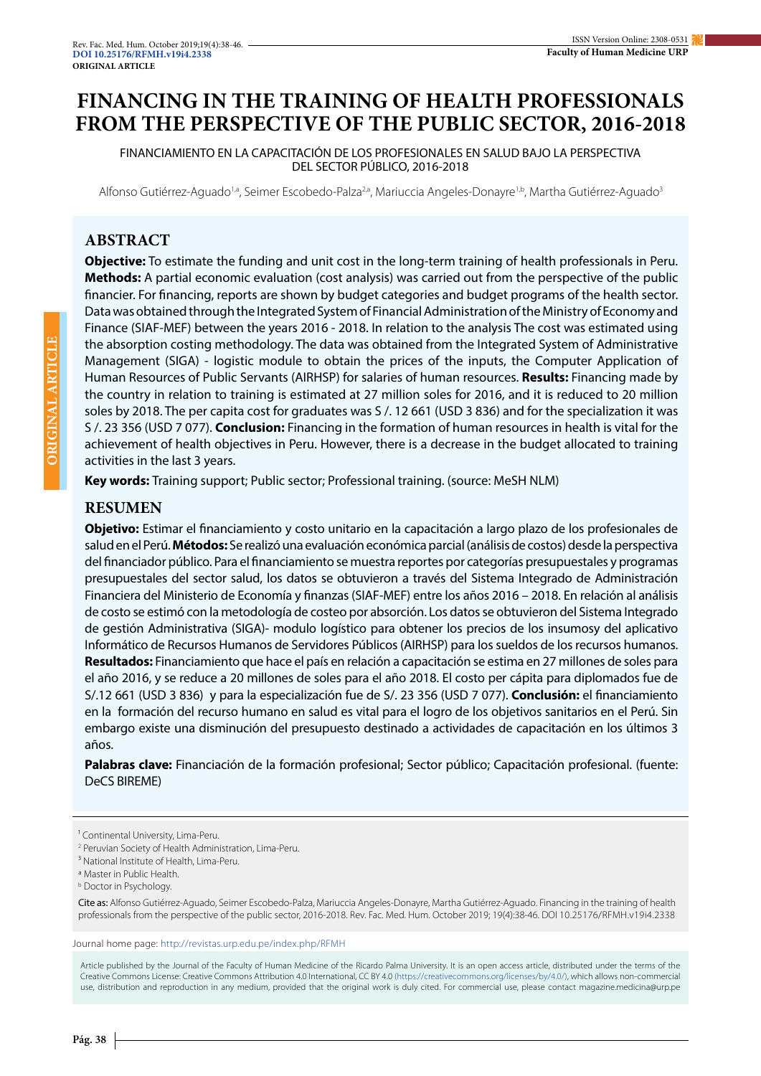# **FINANCING IN THE TRAINING OF HEALTH PROFESSIONALS FROM THE PERSPECTIVE OF THE PUBLIC SECTOR, 2016-2018**

FINANCIAMIENTO EN LA CAPACITACIÓN DE LOS PROFESIONALES EN SALUD BAJO LA PERSPECTIVA DEL SECTOR PÚBLICO, 2016-2018

Alfonso Gutiérrez-Aguado<sup>1a</sup>, Seimer Escobedo-Palza<sup>2,a</sup>, Mariuccia Angeles-Donayre<sup>1,b</sup>, Martha Gutiérrez-Aguado<sup>3</sup>

# **ABSTRACT**

**Objective:** To estimate the funding and unit cost in the long-term training of health professionals in Peru. **Methods:** A partial economic evaluation (cost analysis) was carried out from the perspective of the public financier. For financing, reports are shown by budget categories and budget programs of the health sector. Data was obtained through the Integrated System of Financial Administration of the Ministry of Economy and Finance (SIAF-MEF) between the years 2016 - 2018. In relation to the analysis The cost was estimated using the absorption costing methodology. The data was obtained from the Integrated System of Administrative Management (SIGA) - logistic module to obtain the prices of the inputs, the Computer Application of Human Resources of Public Servants (AIRHSP) for salaries of human resources. **Results:** Financing made by the country in relation to training is estimated at 27 million soles for 2016, and it is reduced to 20 million soles by 2018. The per capita cost for graduates was S /. 12 661 (USD 3 836) and for the specialization it was S /. 23 356 (USD 7 077). **Conclusion:** Financing in the formation of human resources in health is vital for the achievement of health objectives in Peru. However, there is a decrease in the budget allocated to training activities in the last 3 years.

**Key words:** Training support; Public sector; Professional training. (source: MeSH NLM)

# **RESUMEN**

**Objetivo:** Estimar el financiamiento y costo unitario en la capacitación a largo plazo de los profesionales de salud en el Perú. **Métodos:** Se realizó una evaluación económica parcial (análisis de costos) desde la perspectiva del financiador público. Para el financiamiento se muestra reportes por categorías presupuestales y programas presupuestales del sector salud, los datos se obtuvieron a través del Sistema Integrado de Administración Financiera del Ministerio de Economía y finanzas (SIAF-MEF) entre los años 2016 – 2018. En relación al análisis de costo se estimó con la metodología de costeo por absorción. Los datos se obtuvieron del Sistema Integrado de gestión Administrativa (SIGA)- modulo logístico para obtener los precios de los insumosy del aplicativo Informático de Recursos Humanos de Servidores Públicos (AIRHSP) para los sueldos de los recursos humanos. **Resultados:** Financiamiento que hace el país en relación a capacitación se estima en 27 millones de soles para el año 2016, y se reduce a 20 millones de soles para el año 2018. El costo per cápita para diplomados fue de S/.12 661 (USD 3 836) y para la especialización fue de S/. 23 356 (USD 7 077). **Conclusión:** el financiamiento en la formación del recurso humano en salud es vital para el logro de los objetivos sanitarios en el Perú. Sin embargo existe una disminución del presupuesto destinado a actividades de capacitación en los últimos 3 años.

**Palabras clave:** Financiación de la formación profesional; Sector público; Capacitación profesional. (fuente: DeCS BIREME)

Cite as: Alfonso Gutiérrez-Aguado, Seimer Escobedo-Palza, Mariuccia Angeles-Donayre, Martha Gutiérrez-Aguado. Financing in the training of health professionals from the perspective of the public sector, 2016-2018. Rev. Fac. Med. Hum. October 2019; 19(4):38-46. DOI 10.25176/RFMH.v19i4.2338

Journal home page: http://revistas.urp.edu.pe/index.php/RFMH

Article published by the Journal of the Faculty of Human Medicine of the Ricardo Palma University. It is an open access article, distributed under the terms of the Creative Commons License: Creative Commons Attribution 4.0 International, CC BY 4.0 (https://creativecommons.org/licenses/by/4.0/), which allows non-commercial use, distribution and reproduction in any medium, provided that the original work is duly cited. For commercial use, please contact magazine.medicina@urp.pe

<sup>&</sup>lt;sup>1</sup> Continental University, Lima-Peru.

<sup>2</sup> Peruvian Society of Health Administration, Lima-Peru.

<sup>&</sup>lt;sup>3</sup> National Institute of Health, Lima-Peru.

a Master in Public Health.

**b** Doctor in Psychology.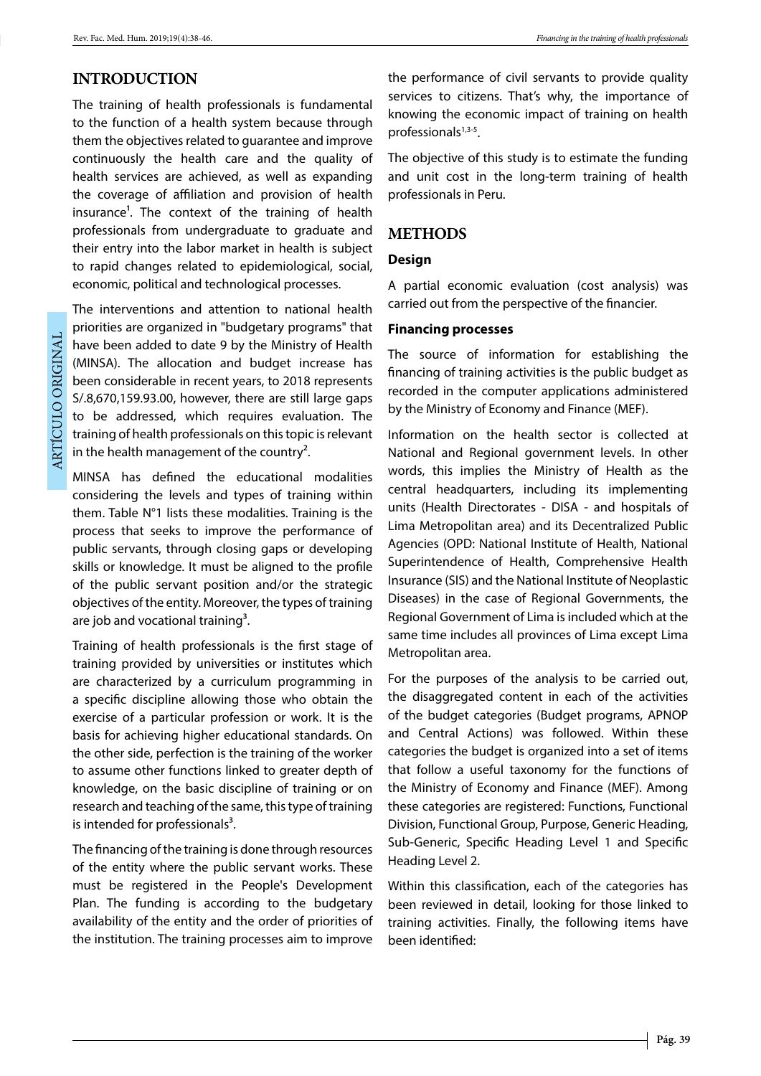### **INTRODUCTION**

The training of health professionals is fundamental to the function of a health system because through them the objectives related to guarantee and improve continuously the health care and the quality of health services are achieved, as well as expanding the coverage of affiliation and provision of health insurance<sup>1</sup>. The context of the training of health professionals from undergraduate to graduate and their entry into the labor market in health is subject to rapid changes related to epidemiological, social, economic, political and technological processes.

The interventions and attention to national health priorities are organized in "budgetary programs" that have been added to date 9 by the Ministry of Health (MINSA). The allocation and budget increase has been considerable in recent years, to 2018 represents S/.8,670,159.93.00, however, there are still large gaps to be addressed, which requires evaluation. The training of health professionals on this topic is relevant in the health management of the country<sup>2</sup>.

MINSA has defined the educational modalities considering the levels and types of training within them. Table N°1 lists these modalities. Training is the process that seeks to improve the performance of public servants, through closing gaps or developing skills or knowledge. It must be aligned to the profile of the public servant position and/or the strategic objectives of the entity. Moreover, the types of training are job and vocational training<sup>3</sup>.

Training of health professionals is the first stage of training provided by universities or institutes which are characterized by a curriculum programming in a specific discipline allowing those who obtain the exercise of a particular profession or work. It is the basis for achieving higher educational standards. On the other side, perfection is the training of the worker to assume other functions linked to greater depth of knowledge, on the basic discipline of training or on research and teaching of the same, this type of training is intended for professionals $3$ .

The financing of the training is done through resources of the entity where the public servant works. These must be registered in the People's Development Plan. The funding is according to the budgetary availability of the entity and the order of priorities of the institution. The training processes aim to improve

the performance of civil servants to provide quality services to citizens. That's why, the importance of knowing the economic impact of training on health professionals<sup>1,3-5</sup>.

The objective of this study is to estimate the funding and unit cost in the long-term training of health professionals in Peru.

#### **METHODS**

#### **Design**

A partial economic evaluation (cost analysis) was carried out from the perspective of the financier.

#### **Financing processes**

The source of information for establishing the financing of training activities is the public budget as recorded in the computer applications administered by the Ministry of Economy and Finance (MEF).

Information on the health sector is collected at National and Regional government levels. In other words, this implies the Ministry of Health as the central headquarters, including its implementing units (Health Directorates - DISA - and hospitals of Lima Metropolitan area) and its Decentralized Public Agencies (OPD: National Institute of Health, National Superintendence of Health, Comprehensive Health Insurance (SIS) and the National Institute of Neoplastic Diseases) in the case of Regional Governments, the Regional Government of Lima is included which at the same time includes all provinces of Lima except Lima Metropolitan area.

For the purposes of the analysis to be carried out, the disaggregated content in each of the activities of the budget categories (Budget programs, APNOP and Central Actions) was followed. Within these categories the budget is organized into a set of items that follow a useful taxonomy for the functions of the Ministry of Economy and Finance (MEF). Among these categories are registered: Functions, Functional Division, Functional Group, Purpose, Generic Heading, Sub-Generic, Specific Heading Level 1 and Specific Heading Level 2.

Within this classification, each of the categories has been reviewed in detail, looking for those linked to training activities. Finally, the following items have been identified: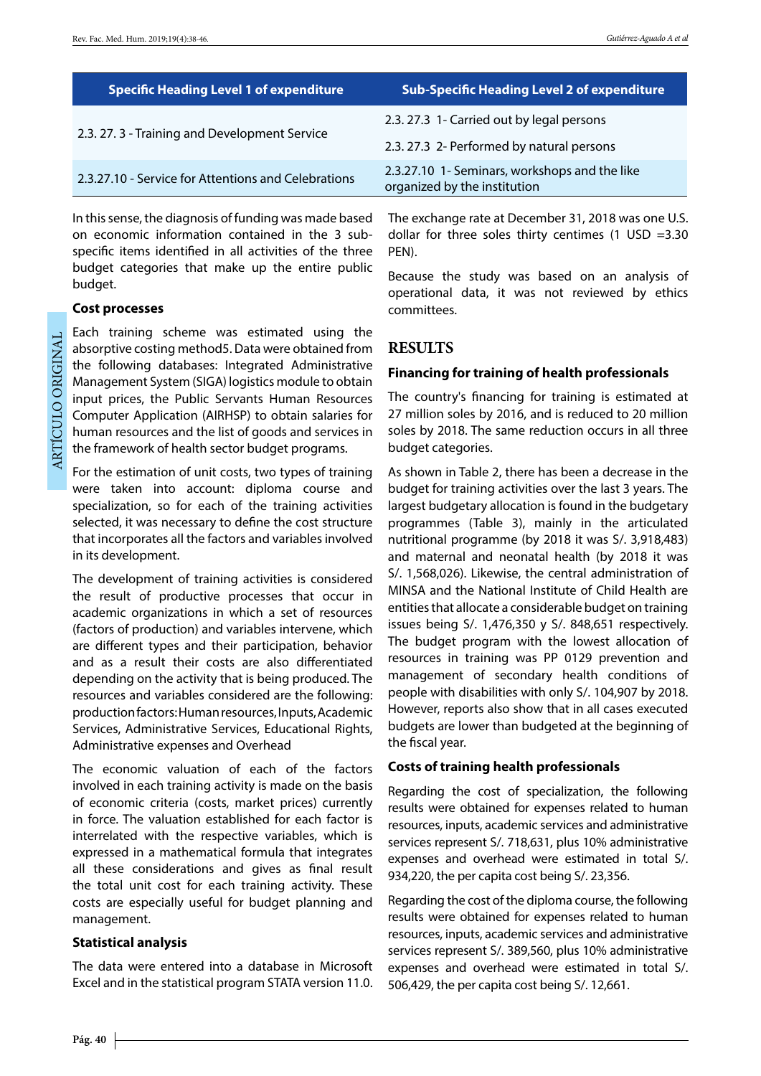| <b>Specific Heading Level 1 of expenditure</b>      | <b>Sub-Specific Heading Level 2 of expenditure</b>                            |
|-----------------------------------------------------|-------------------------------------------------------------------------------|
| 2.3. 27. 3 - Training and Development Service       | 2.3. 27.3 1- Carried out by legal persons                                     |
|                                                     | 2.3. 27.3 2- Performed by natural persons                                     |
| 2.3.27.10 - Service for Attentions and Celebrations | 2.3.27.10 1- Seminars, workshops and the like<br>organized by the institution |

In this sense, the diagnosis of funding was made based on economic information contained in the 3 subspecific items identified in all activities of the three budget categories that make up the entire public budget.

#### **Cost processes**

ARTÍCULO ORIGINAL ARTÍCULO ORIGINAL Each training scheme was estimated using the absorptive costing method5. Data were obtained from the following databases: Integrated Administrative Management System (SIGA) logistics module to obtain input prices, the Public Servants Human Resources Computer Application (AIRHSP) to obtain salaries for human resources and the list of goods and services in the framework of health sector budget programs.

For the estimation of unit costs, two types of training were taken into account: diploma course and specialization, so for each of the training activities selected, it was necessary to define the cost structure that incorporates all the factors and variables involved in its development.

The development of training activities is considered the result of productive processes that occur in academic organizations in which a set of resources (factors of production) and variables intervene, which are different types and their participation, behavior and as a result their costs are also differentiated depending on the activity that is being produced. The resources and variables considered are the following: production factors: Human resources, Inputs, Academic Services, Administrative Services, Educational Rights, Administrative expenses and Overhead

The economic valuation of each of the factors involved in each training activity is made on the basis of economic criteria (costs, market prices) currently in force. The valuation established for each factor is interrelated with the respective variables, which is expressed in a mathematical formula that integrates all these considerations and gives as final result the total unit cost for each training activity. These costs are especially useful for budget planning and management.

#### **Statistical analysis**

The data were entered into a database in Microsoft Excel and in the statistical program STATA version 11.0.

The exchange rate at December 31, 2018 was one U.S. dollar for three soles thirty centimes (1 USD =3.30 PEN).

Because the study was based on an analysis of operational data, it was not reviewed by ethics committees.

### **RESULTS**

#### **Financing for training of health professionals**

The country's financing for training is estimated at 27 million soles by 2016, and is reduced to 20 million soles by 2018. The same reduction occurs in all three budget categories.

As shown in Table 2, there has been a decrease in the budget for training activities over the last 3 years. The largest budgetary allocation is found in the budgetary programmes (Table 3), mainly in the articulated nutritional programme (by 2018 it was S/. 3,918,483) and maternal and neonatal health (by 2018 it was S/. 1,568,026). Likewise, the central administration of MINSA and the National Institute of Child Health are entities that allocate a considerable budget on training issues being S/. 1,476,350 y S/. 848,651 respectively. The budget program with the lowest allocation of resources in training was PP 0129 prevention and management of secondary health conditions of people with disabilities with only S/. 104,907 by 2018. However, reports also show that in all cases executed budgets are lower than budgeted at the beginning of the fiscal year.

#### **Costs of training health professionals**

Regarding the cost of specialization, the following results were obtained for expenses related to human resources, inputs, academic services and administrative services represent S/. 718,631, plus 10% administrative expenses and overhead were estimated in total S/. 934,220, the per capita cost being S/. 23,356.

Regarding the cost of the diploma course, the following results were obtained for expenses related to human resources, inputs, academic services and administrative services represent S/. 389,560, plus 10% administrative expenses and overhead were estimated in total S/. 506,429, the per capita cost being S/. 12,661.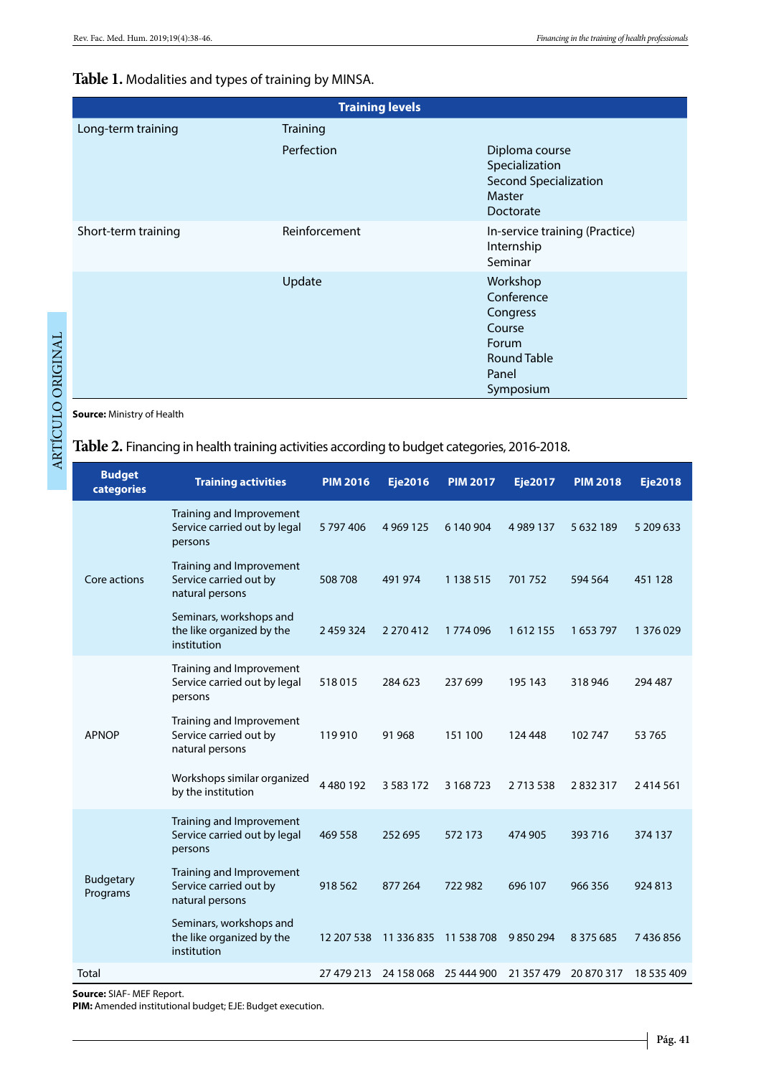#### **Table 1.** Modalities and types of training by MINSA.

| <b>Training levels</b> |                 |                                                                                                   |  |  |  |
|------------------------|-----------------|---------------------------------------------------------------------------------------------------|--|--|--|
| Long-term training     | <b>Training</b> |                                                                                                   |  |  |  |
|                        | Perfection      | Diploma course<br>Specialization<br><b>Second Specialization</b><br>Master<br>Doctorate           |  |  |  |
| Short-term training    | Reinforcement   | In-service training (Practice)<br>Internship<br>Seminar                                           |  |  |  |
|                        | Update          | Workshop<br>Conference<br>Congress<br>Course<br>Forum<br><b>Round Table</b><br>Panel<br>Symposium |  |  |  |

**Source:** Ministry of Health

# **Table 2.** Financing in health training activities according to budget categories, 2016-2018.

| Training and Improvement                                                                                                                                               |  |
|------------------------------------------------------------------------------------------------------------------------------------------------------------------------|--|
| Service carried out by legal<br>5797406<br>4 9 69 1 25<br>6 140 904<br>4 9 8 9 1 3 7<br>5 632 189<br>5 209 633<br>persons                                              |  |
| Training and Improvement<br>Service carried out by<br>Core actions<br>508 708<br>491 974<br>1 1 3 8 5 1 5<br>701752<br>594 564<br>451 128<br>natural persons           |  |
| Seminars, workshops and<br>the like organized by the<br>2 459 324<br>2 270 412<br>1774096<br>1612155<br>1653797<br>1 376 029<br>institution                            |  |
| Training and Improvement<br>Service carried out by legal<br>518015<br>284 623<br>237 699<br>195 143<br>318 946<br>294 487<br>persons                                   |  |
| Training and Improvement<br>Service carried out by<br><b>APNOP</b><br>119 910<br>91 968<br>151 100<br>102747<br>124 448<br>53 765<br>natural persons                   |  |
| Workshops similar organized<br>4480192<br>3 5 8 3 1 7 2<br>3 168 723<br>2832317<br>2713538<br>2414561<br>by the institution                                            |  |
| Training and Improvement<br>Service carried out by legal<br>469 558<br>252 695<br>572 173<br>474 905<br>393 716<br>374 137<br>persons                                  |  |
| Training and Improvement<br><b>Budgetary</b><br>Service carried out by<br>918 562<br>877 264<br>722 982<br>696 107<br>966 356<br>924813<br>Programs<br>natural persons |  |
| Seminars, workshops and<br>the like organized by the<br>12 207 538<br>11 336 835<br>11 538 708<br>9850294<br>8 3 7 5 6 8 5<br>7436856<br>institution                   |  |
| Total<br>27 479 213<br>24 158 068<br>25 444 900<br>21 357 479<br>20 870 317<br>18 535 409                                                                              |  |

**Source:** SIAF- MEF Report.

**PIM:** Amended institutional budget; EJE: Budget execution.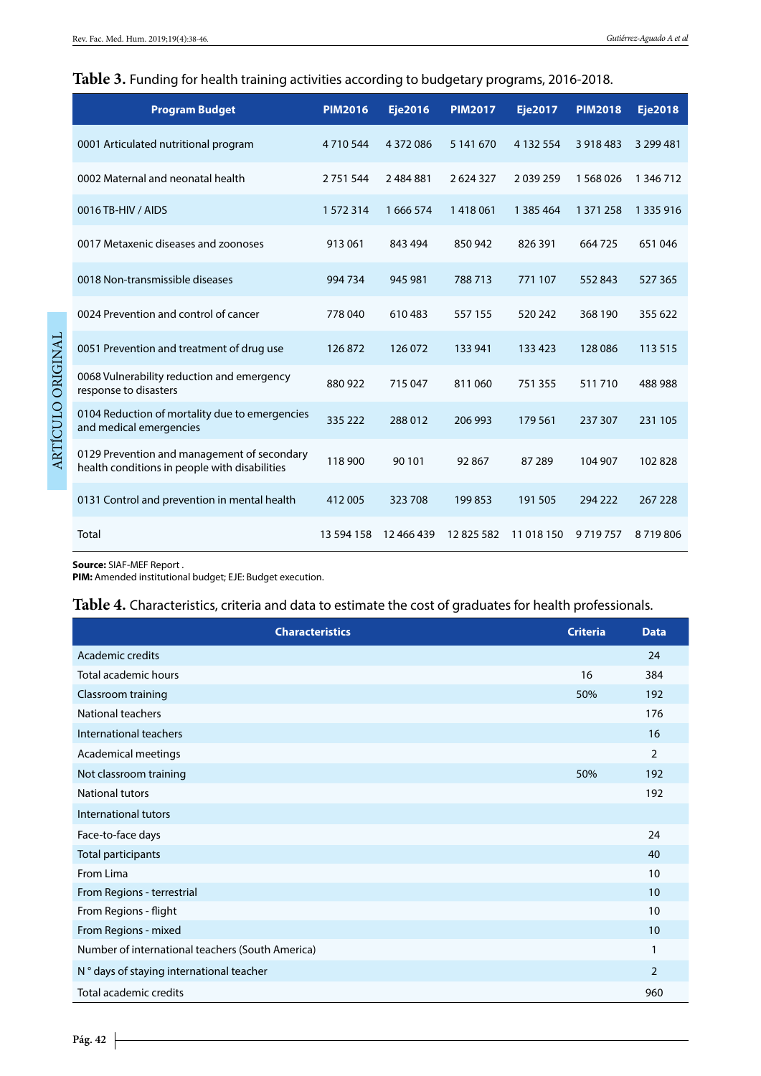#### **Table 3.** Funding for health training activities according to budgetary programs, 2016-2018.

| <b>Program Budget</b>                                                                        | <b>PIM2016</b> | <b>Eje2016</b> | <b>PIM2017</b> | <b>Eje2017</b> | <b>PIM2018</b> | <b>Eje2018</b> |
|----------------------------------------------------------------------------------------------|----------------|----------------|----------------|----------------|----------------|----------------|
| 0001 Articulated nutritional program                                                         | 4710544        | 4 3 7 2 0 8 6  | 5 141 670      | 4 132 554      | 3 918 483      | 3 299 481      |
| 0002 Maternal and neonatal health                                                            | 2 7 5 1 5 4 4  | 2484881        | 2624327        | 2039259        | 1 568 026      | 1 346 712      |
| 0016 TB-HIV / AIDS                                                                           | 1572314        | 1666574        | 1418061        | 1 385 464      | 1 371 258      | 1 3 3 5 9 1 6  |
| 0017 Metaxenic diseases and zoonoses                                                         | 913 061        | 843 494        | 850 942        | 826 391        | 664 725        | 651046         |
| 0018 Non-transmissible diseases                                                              | 994 734        | 945 981        | 788 713        | 771 107        | 552 843        | 527 365        |
| 0024 Prevention and control of cancer                                                        | 778040         | 610483         | 557 155        | 520 242        | 368 190        | 355 622        |
| 0051 Prevention and treatment of drug use                                                    | 126872         | 126 072        | 133 941        | 133 423        | 128 086        | 113 515        |
| 0068 Vulnerability reduction and emergency<br>response to disasters                          | 880 922        | 715 047        | 811060         | 751 355        | 511710         | 488 988        |
| 0104 Reduction of mortality due to emergencies<br>and medical emergencies                    | 335 222        | 288 012        | 206 993        | 179 561        | 237 307        | 231 105        |
| 0129 Prevention and management of secondary<br>health conditions in people with disabilities | 118 900        | 90 101         | 92 867         | 87 289         | 104 907        | 102828         |
| 0131 Control and prevention in mental health                                                 | 412 005        | 323708         | 199853         | 191 505        | 294 222        | 267 228        |
| Total                                                                                        | 13 594 158     | 12 466 439     | 12825582       | 11 018 150     | 9719757        | 8719806        |

**Source:** SIAF-MEF Report .

**PIM:** Amended institutional budget; EJE: Budget execution.

### **Table 4.** Characteristics, criteria and data to estimate the cost of graduates for health professionals.

| <b>Characteristics</b>                           | <b>Criteria</b> | <b>Data</b>    |
|--------------------------------------------------|-----------------|----------------|
| Academic credits                                 |                 | 24             |
| Total academic hours                             | 16              | 384            |
| Classroom training                               | 50%             | 192            |
| National teachers                                |                 | 176            |
| International teachers                           |                 | 16             |
| Academical meetings                              |                 | $\overline{2}$ |
| Not classroom training                           | 50%             | 192            |
| <b>National tutors</b>                           |                 | 192            |
| International tutors                             |                 |                |
| Face-to-face days                                |                 | 24             |
| Total participants                               |                 | 40             |
| From Lima                                        |                 | 10             |
| From Regions - terrestrial                       |                 | 10             |
| From Regions - flight                            |                 | 10             |
| From Regions - mixed                             |                 | 10             |
| Number of international teachers (South America) |                 | $\mathbf{1}$   |
| N° days of staying international teacher         |                 | $\overline{2}$ |
| Total academic credits                           |                 | 960            |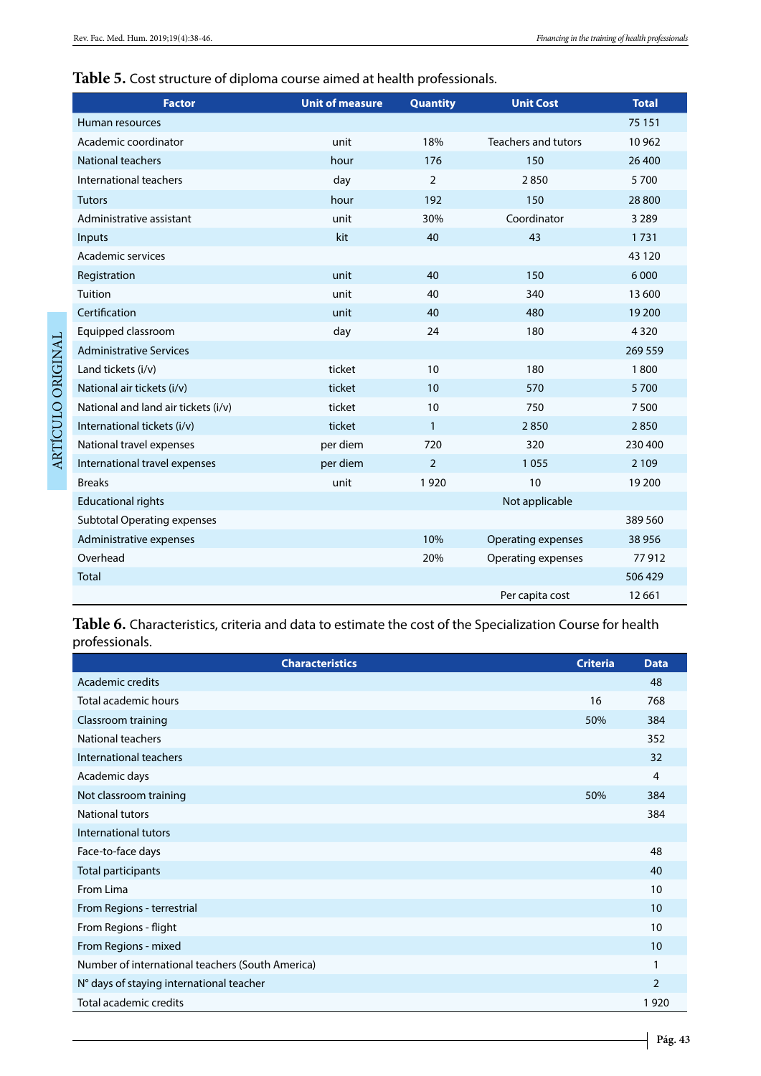# **Table 5.** Cost structure of diploma course aimed at health professionals.

| <b>Factor</b>                       | <b>Unit of measure</b> | <b>Quantity</b> | <b>Unit Cost</b>           | <b>Total</b> |
|-------------------------------------|------------------------|-----------------|----------------------------|--------------|
| Human resources                     |                        |                 |                            | 75 151       |
| Academic coordinator                | unit                   | 18%             | <b>Teachers and tutors</b> | 10 962       |
| National teachers                   | hour                   | 176             | 150                        | 26 400       |
| International teachers              | day                    | $\overline{2}$  | 2850                       | 5700         |
| <b>Tutors</b>                       | hour                   | 192             | 150                        | 28 800       |
| Administrative assistant            | unit                   | 30%             | Coordinator                | 3 2 8 9      |
| Inputs                              | kit                    | 40              | 43                         | 1731         |
| Academic services                   |                        |                 |                            | 43 1 20      |
| Registration                        | unit                   | 40              | 150                        | 6 0 0 0      |
| Tuition                             | unit                   | 40              | 340                        | 13 600       |
| Certification                       | unit                   | 40              | 480                        | 19 200       |
| Equipped classroom                  | day                    | 24              | 180                        | 4320         |
| <b>Administrative Services</b>      |                        |                 |                            | 269 559      |
| Land tickets (i/v)                  | ticket                 | 10              | 180                        | 1800         |
| National air tickets (i/v)          | ticket                 | 10              | 570                        | 5700         |
| National and land air tickets (i/v) | ticket                 | 10              | 750                        | 7500         |
| International tickets (i/v)         | ticket                 | $\mathbf{1}$    | 2850                       | 2850         |
| National travel expenses            | per diem               | 720             | 320                        | 230 400      |
| International travel expenses       | per diem               | $\overline{2}$  | 1055                       | 2 1 0 9      |
| <b>Breaks</b>                       | unit                   | 1920            | 10                         | 19 200       |
| <b>Educational rights</b>           |                        |                 | Not applicable             |              |
| <b>Subtotal Operating expenses</b>  |                        |                 |                            | 389 560      |
| Administrative expenses             |                        | 10%             | Operating expenses         | 38 956       |
| Overhead                            |                        | 20%             | Operating expenses         | 77912        |
| <b>Total</b>                        |                        |                 |                            | 506 429      |
|                                     |                        |                 | Per capita cost            | 12 6 61      |

**Table 6.** Characteristics, criteria and data to estimate the cost of the Specialization Course for health professionals.

| <b>Characteristics</b>                           | <b>Criteria</b> | <b>Data</b>    |
|--------------------------------------------------|-----------------|----------------|
| Academic credits                                 |                 | 48             |
| Total academic hours                             | 16              | 768            |
| Classroom training                               | 50%             | 384            |
| National teachers                                |                 | 352            |
| International teachers                           |                 | 32             |
| Academic days                                    |                 | 4              |
| Not classroom training                           | 50%             | 384            |
| <b>National tutors</b>                           |                 | 384            |
| International tutors                             |                 |                |
| Face-to-face days                                |                 | 48             |
| Total participants                               |                 | 40             |
| From Lima                                        |                 | 10             |
| From Regions - terrestrial                       |                 | 10             |
| From Regions - flight                            |                 | 10             |
| From Regions - mixed                             |                 | 10             |
| Number of international teachers (South America) |                 |                |
| N° days of staying international teacher         |                 | $\overline{2}$ |
| Total academic credits                           |                 | 1920           |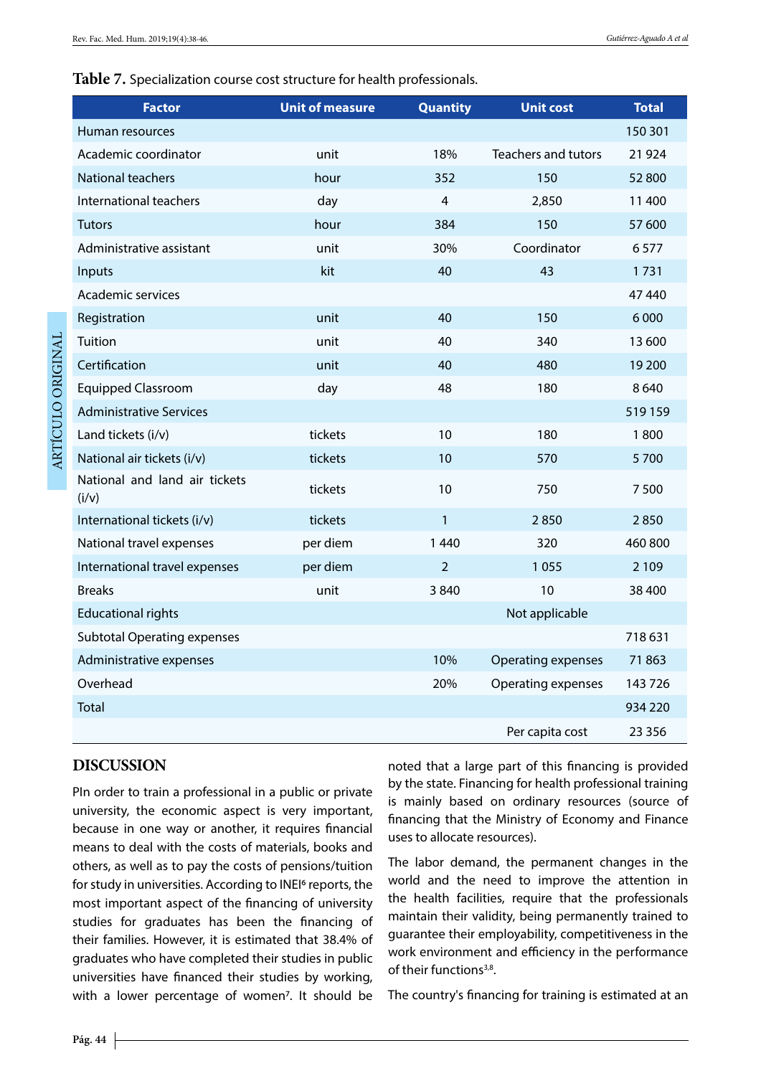#### **Table 7.** Specialization course cost structure for health professionals.

| <b>Factor</b>                          | <b>Unit of measure</b> | <b>Quantity</b> | <b>Unit cost</b>           | <b>Total</b> |
|----------------------------------------|------------------------|-----------------|----------------------------|--------------|
| Human resources                        |                        |                 |                            | 150 301      |
| Academic coordinator                   | unit                   | 18%             | <b>Teachers and tutors</b> | 21 9 24      |
| <b>National teachers</b>               | hour                   | 352             | 150                        | 52 800       |
| International teachers                 | day                    | 4               | 2,850                      | 11 400       |
| <b>Tutors</b>                          | hour                   | 384             | 150                        | 57 600       |
| Administrative assistant               | unit                   | 30%             | Coordinator                | 6577         |
| Inputs                                 | kit                    | 40              | 43                         | 1731         |
| Academic services                      |                        |                 |                            | 47440        |
| Registration                           | unit                   | 40              | 150                        | 6 0 0 0      |
| Tuition                                | unit                   | 40              | 340                        | 13 600       |
| Certification                          | unit                   | 40              | 480                        | 19 200       |
| <b>Equipped Classroom</b>              | day                    | 48              | 180                        | 8640         |
| <b>Administrative Services</b>         |                        |                 |                            | 519159       |
| Land tickets (i/v)                     | tickets                | 10              | 180                        | 1800         |
| National air tickets (i/v)             | tickets                | 10              | 570                        | 5700         |
| National and land air tickets<br>(i/v) | tickets                | 10              | 750                        | 7500         |
| International tickets (i/v)            | tickets                | $\mathbf{1}$    | 2850                       | 2850         |
| National travel expenses               | per diem               | 1 4 4 0         | 320                        | 460 800      |
| International travel expenses          | per diem               | $\overline{2}$  | 1055                       | 2 1 0 9      |
| <b>Breaks</b>                          | unit                   | 3840            | 10                         | 38 400       |
| <b>Educational rights</b>              |                        |                 | Not applicable             |              |
| <b>Subtotal Operating expenses</b>     |                        |                 |                            | 718631       |
| Administrative expenses                |                        | 10%             | <b>Operating expenses</b>  | 71863        |
| Overhead                               |                        | 20%             | Operating expenses         | 143726       |
| <b>Total</b>                           |                        |                 |                            | 934 220      |
|                                        |                        |                 | Per capita cost            | 23 3 5 6     |

## **DISCUSSION**

PIn order to train a professional in a public or private university, the economic aspect is very important, because in one way or another, it requires financial means to deal with the costs of materials, books and others, as well as to pay the costs of pensions/tuition for study in universities. According to INEI6 reports, the most important aspect of the financing of university studies for graduates has been the financing of their families. However, it is estimated that 38.4% of graduates who have completed their studies in public universities have financed their studies by working, with a lower percentage of women<sup>7</sup>. It should be

noted that a large part of this financing is provided by the state. Financing for health professional training is mainly based on ordinary resources (source of financing that the Ministry of Economy and Finance uses to allocate resources).

The labor demand, the permanent changes in the world and the need to improve the attention in the health facilities, require that the professionals maintain their validity, being permanently trained to guarantee their employability, competitiveness in the work environment and efficiency in the performance of their functions<sup>3,8</sup>.

The country's financing for training is estimated at an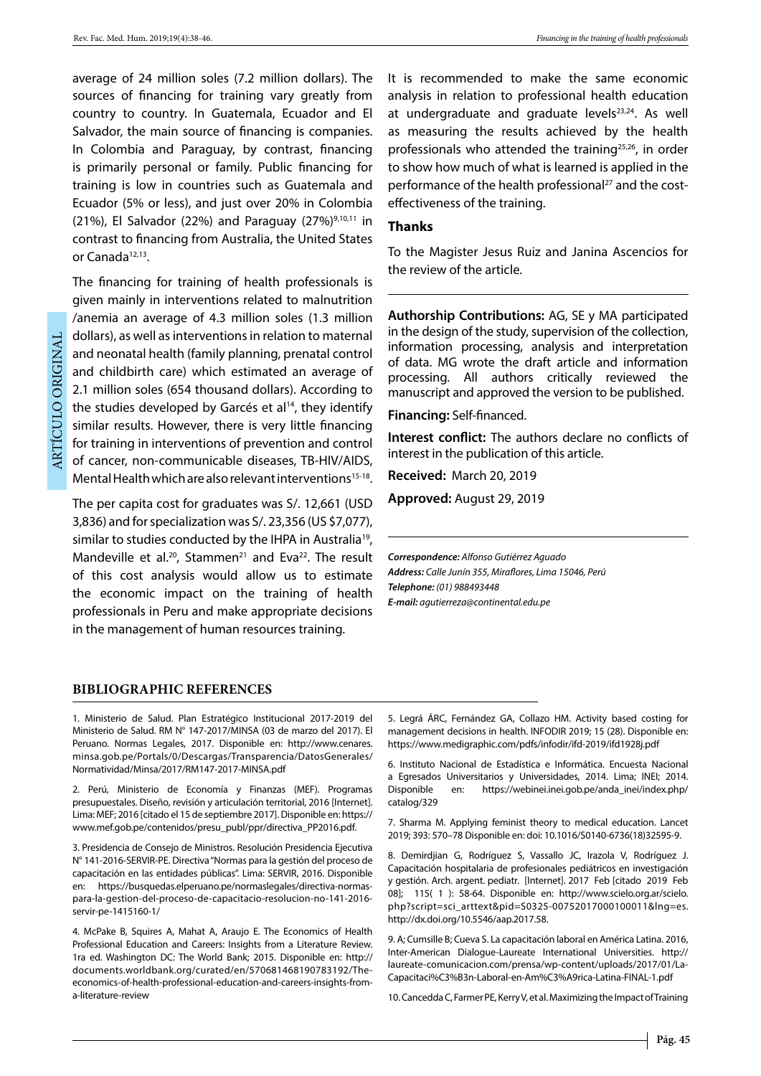average of 24 million soles (7.2 million dollars). The sources of financing for training vary greatly from country to country. In Guatemala, Ecuador and El Salvador, the main source of financing is companies. In Colombia and Paraguay, by contrast, financing is primarily personal or family. Public financing for training is low in countries such as Guatemala and Ecuador (5% or less), and just over 20% in Colombia (21%), El Salvador (22%) and Paraguay (27%)<sup>9,10,11</sup> in contrast to financing from Australia, the United States or Canada<sup>12,13</sup>.

ARTÍCULO ORIGINAL ARTÍCULO ORIGINAL

The financing for training of health professionals is given mainly in interventions related to malnutrition /anemia an average of 4.3 million soles (1.3 million dollars), as well as interventions in relation to maternal and neonatal health (family planning, prenatal control and childbirth care) which estimated an average of 2.1 million soles (654 thousand dollars). According to the studies developed by Garcés et  $al<sup>14</sup>$ , they identify similar results. However, there is very little financing for training in interventions of prevention and control of cancer, non-communicable diseases, TB-HIV/AIDS, Mental Health which are also relevant interventions<sup>15-18</sup>.

The per capita cost for graduates was S/. 12,661 (USD 3,836) and for specialization was S/. 23,356 (US \$7,077), similar to studies conducted by the IHPA in Australia<sup>19</sup>, Mandeville et al.<sup>20</sup>, Stammen<sup>21</sup> and Eva<sup>22</sup>. The result of this cost analysis would allow us to estimate the economic impact on the training of health professionals in Peru and make appropriate decisions in the management of human resources training.

It is recommended to make the same economic analysis in relation to professional health education at undergraduate and graduate levels<sup>23,24</sup>. As well as measuring the results achieved by the health professionals who attended the training<sup>25,26</sup>, in order to show how much of what is learned is applied in the performance of the health professional<sup>27</sup> and the costeffectiveness of the training.

#### **Thanks**

To the Magister Jesus Ruiz and Janina Ascencios for the review of the article.

**Authorship Contributions:** AG, SE y MA participated in the design of the study, supervision of the collection, information processing, analysis and interpretation of data. MG wrote the draft article and information processing. All authors critically reviewed the manuscript and approved the version to be published.

**Financing:** Self-financed.

**Interest conflict:** The authors declare no conflicts of interest in the publication of this article.

**Received:** March 20, 2019

**Approved:** August 29, 2019

*Correspondence: Alfonso Gutiérrez Aguado Address: Calle Junín 355, Miraflores, Lima 15046, Perú Telephone: (01) 988493448 E-mail: agutierreza@continental.edu.pe* 

#### **BIBLIOGRAPHIC REFERENCES**

1. Ministerio de Salud. Plan Estratégico Institucional 2017-2019 del Ministerio de Salud. RM N° 147-2017/MINSA (03 de marzo del 2017). El Peruano. Normas Legales, 2017. Disponible en: http://www.cenares. minsa.gob.pe/Portals/0/Descargas/Transparencia/DatosGenerales/ Normatividad/Minsa/2017/RM147-2017-MINSA.pdf

2. Perú, Ministerio de Economía y Finanzas (MEF). Programas presupuestales. Diseño, revisión y articulación territorial, 2016 [Internet]. Lima: MEF; 2016 [citado el 15 de septiembre 2017]. Disponible en: https:// www.mef.gob.pe/contenidos/presu\_publ/ppr/directiva\_PP2016.pdf.

3. Presidencia de Consejo de Ministros. Resolución Presidencia Ejecutiva N° 141-2016-SERVIR-PE. Directiva "Normas para la gestión del proceso de capacitación en las entidades públicas". Lima: SERVIR, 2016. Disponible en: https://busquedas.elperuano.pe/normaslegales/directiva-normaspara-la-gestion-del-proceso-de-capacitacio-resolucion-no-141-2016 servir-pe-1415160-1/

4. McPake B, Squires A, Mahat A, Araujo E. The Economics of Health Professional Education and Careers: Insights from a Literature Review. 1ra ed. Washington DC: The World Bank; 2015. Disponible en: http:// documents.worldbank.org/curated/en/570681468190783192/Theeconomics-of-health-professional-education-and-careers-insights-froma-literature-review

5. Legrá ÁRC, Fernández GA, Collazo HM. Activity based costing for management decisions in health. INFODIR 2019; 15 (28). Disponible en: https://www.medigraphic.com/pdfs/infodir/ifd-2019/ifd1928j.pdf

6. Instituto Nacional de Estadística e Informática. Encuesta Nacional a Egresados Universitarios y Universidades, 2014. Lima; INEI; 2014. Disponible en: https://webinei.inei.gob.pe/anda\_inei/index.php/ catalog/329

7. Sharma M. Applying feminist theory to medical education. Lancet 2019; 393: 570–78 Disponible en: doi: 10.1016/S0140-6736(18)32595-9.

8. Demirdjian G, Rodríguez S, Vassallo JC, Irazola V, Rodríguez J. Capacitación hospitalaria de profesionales pediátricos en investigación y gestión. Arch. argent. pediatr. [Internet]. 2017 Feb [citado 2019 Feb 08]; 115( 1 ): 58-64. Disponible en: http://www.scielo.org.ar/scielo. php?script=sci\_arttext&pid=S0325-00752017000100011&lng=es. http://dx.doi.org/10.5546/aap.2017.58.

9. A; Cumsille B; Cueva S. La capacitación laboral en América Latina. 2016, Inter-American Dialogue-Laureate International Universities. http:// laureate-comunicacion.com/prensa/wp-content/uploads/2017/01/La-Capacitaci%C3%B3n-Laboral-en-Am%C3%A9rica-Latina-FINAL-1.pdf

10. Cancedda C, Farmer PE, Kerry V, et al. Maximizing the Impact of Training